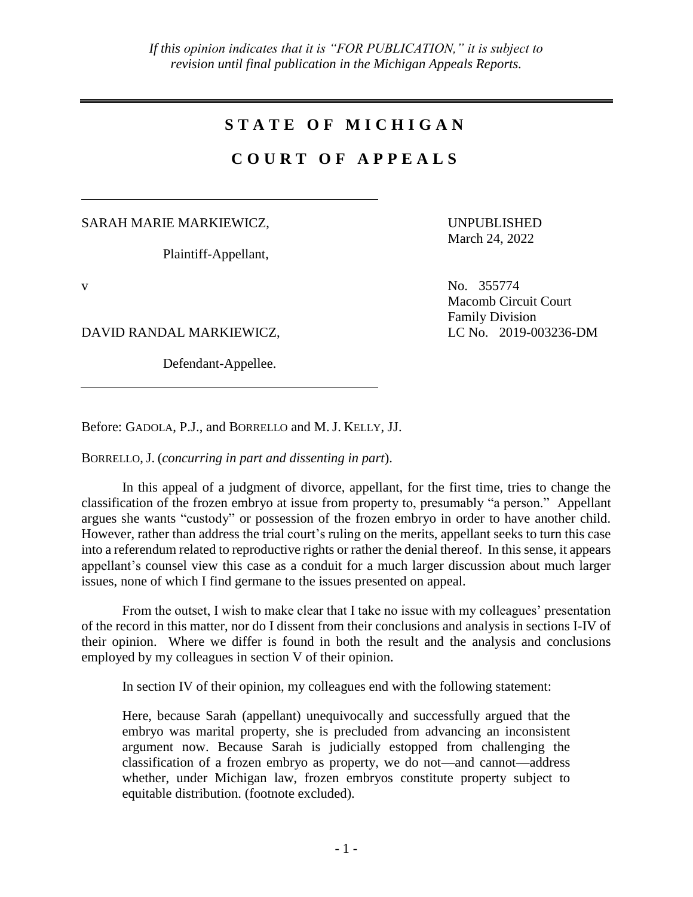## **S T A T E O F M I C H I G A N**

## **C O U R T O F A P P E A L S**

SARAH MARIE MARKIEWICZ,

Plaintiff-Appellant,

UNPUBLISHED March 24, 2022

DAVID RANDAL MARKIEWICZ, LC No. 2019-003236-DM

Defendant-Appellee.

v No. 355774 Macomb Circuit Court Family Division

Before: GADOLA, P.J., and BORRELLO and M. J. KELLY, JJ.

BORRELLO, J. (*concurring in part and dissenting in part*).

In this appeal of a judgment of divorce, appellant, for the first time, tries to change the classification of the frozen embryo at issue from property to, presumably "a person." Appellant argues she wants "custody" or possession of the frozen embryo in order to have another child. However, rather than address the trial court's ruling on the merits, appellant seeks to turn this case into a referendum related to reproductive rights or rather the denial thereof. In this sense, it appears appellant's counsel view this case as a conduit for a much larger discussion about much larger issues, none of which I find germane to the issues presented on appeal.

From the outset, I wish to make clear that I take no issue with my colleagues' presentation of the record in this matter, nor do I dissent from their conclusions and analysis in sections I-IV of their opinion. Where we differ is found in both the result and the analysis and conclusions employed by my colleagues in section V of their opinion.

In section IV of their opinion, my colleagues end with the following statement:

Here, because Sarah (appellant) unequivocally and successfully argued that the embryo was marital property, she is precluded from advancing an inconsistent argument now. Because Sarah is judicially estopped from challenging the classification of a frozen embryo as property, we do not—and cannot—address whether, under Michigan law, frozen embryos constitute property subject to equitable distribution. (footnote excluded).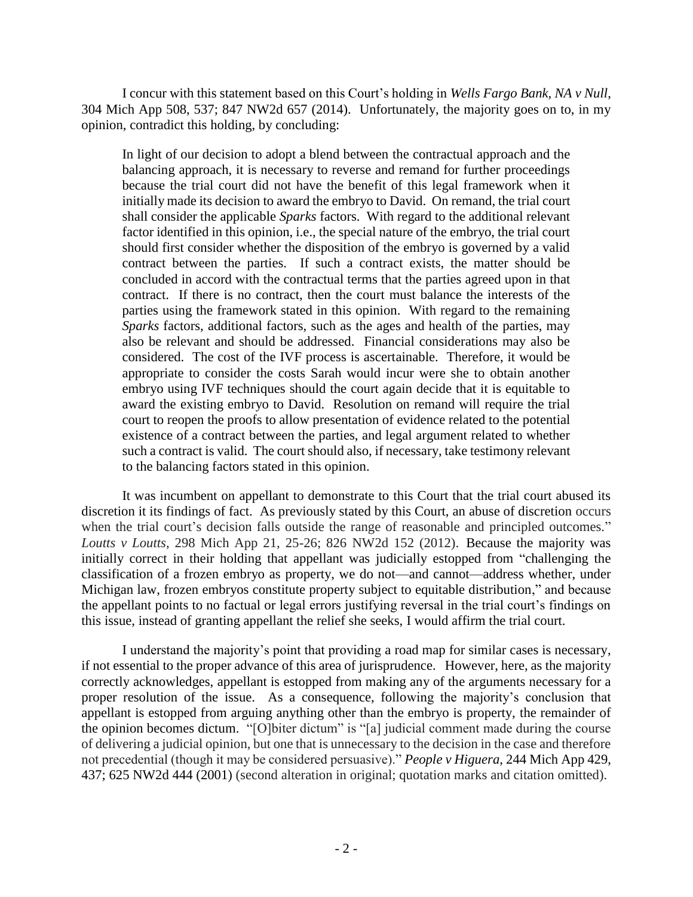I concur with this statement based on this Court's holding in *Wells Fargo Bank, NA v Null*, 304 Mich App 508, 537; 847 NW2d 657 (2014). Unfortunately, the majority goes on to, in my opinion, contradict this holding, by concluding:

In light of our decision to adopt a blend between the contractual approach and the balancing approach, it is necessary to reverse and remand for further proceedings because the trial court did not have the benefit of this legal framework when it initially made its decision to award the embryo to David. On remand, the trial court shall consider the applicable *Sparks* factors. With regard to the additional relevant factor identified in this opinion, i.e., the special nature of the embryo, the trial court should first consider whether the disposition of the embryo is governed by a valid contract between the parties. If such a contract exists, the matter should be concluded in accord with the contractual terms that the parties agreed upon in that contract. If there is no contract, then the court must balance the interests of the parties using the framework stated in this opinion. With regard to the remaining *Sparks* factors, additional factors, such as the ages and health of the parties, may also be relevant and should be addressed. Financial considerations may also be considered. The cost of the IVF process is ascertainable. Therefore, it would be appropriate to consider the costs Sarah would incur were she to obtain another embryo using IVF techniques should the court again decide that it is equitable to award the existing embryo to David. Resolution on remand will require the trial court to reopen the proofs to allow presentation of evidence related to the potential existence of a contract between the parties, and legal argument related to whether such a contract is valid. The court should also, if necessary, take testimony relevant to the balancing factors stated in this opinion.

It was incumbent on appellant to demonstrate to this Court that the trial court abused its discretion it its findings of fact. As previously stated by this Court, an abuse of discretion occurs when the trial court's decision falls outside the range of reasonable and principled outcomes." *Loutts v Loutts*, 298 Mich App 21, 25-26; 826 NW2d 152 (2012). Because the majority was initially correct in their holding that appellant was judicially estopped from "challenging the classification of a frozen embryo as property, we do not—and cannot—address whether, under Michigan law, frozen embryos constitute property subject to equitable distribution," and because the appellant points to no factual or legal errors justifying reversal in the trial court's findings on this issue, instead of granting appellant the relief she seeks, I would affirm the trial court.

I understand the majority's point that providing a road map for similar cases is necessary, if not essential to the proper advance of this area of jurisprudence. However, here, as the majority correctly acknowledges, appellant is estopped from making any of the arguments necessary for a proper resolution of the issue. As a consequence, following the majority's conclusion that appellant is estopped from arguing anything other than the embryo is property, the remainder of the opinion becomes dictum. "[O]biter dictum" is "[a] judicial comment made during the course of delivering a judicial opinion, but one that is unnecessary to the decision in the case and therefore not precedential (though it may be considered persuasive)." *People v [Higuera](https://advance.lexis.com/document/?pdmfid=1000516&crid=a7c1e350-6d6b-4729-9e2e-c66480e1243b&pddocfullpath=%2Fshared%2Fdocument%2Fcases%2Furn%3AcontentItem%3A63TP-D061-F2TK-22N7-00000-00&pdcontentcomponentid=7783&pdshepid=urn%3AcontentItem%3A63TH-SVS3-GXF6-D07R-00000-00&pdteaserkey=sr1&pditab=allpods&ecomp=wzgpk&earg=sr1&prid=a833de88-e786-4dc4-be68-f3ab545d802a)*, 244 Mich App 429, 437; 625 [NW2d](https://advance.lexis.com/document/?pdmfid=1000516&crid=a7c1e350-6d6b-4729-9e2e-c66480e1243b&pddocfullpath=%2Fshared%2Fdocument%2Fcases%2Furn%3AcontentItem%3A63TP-D061-F2TK-22N7-00000-00&pdcontentcomponentid=7783&pdshepid=urn%3AcontentItem%3A63TH-SVS3-GXF6-D07R-00000-00&pdteaserkey=sr1&pditab=allpods&ecomp=wzgpk&earg=sr1&prid=a833de88-e786-4dc4-be68-f3ab545d802a) 444 (2001) (second alteration in original; quotation marks and citation omitted).